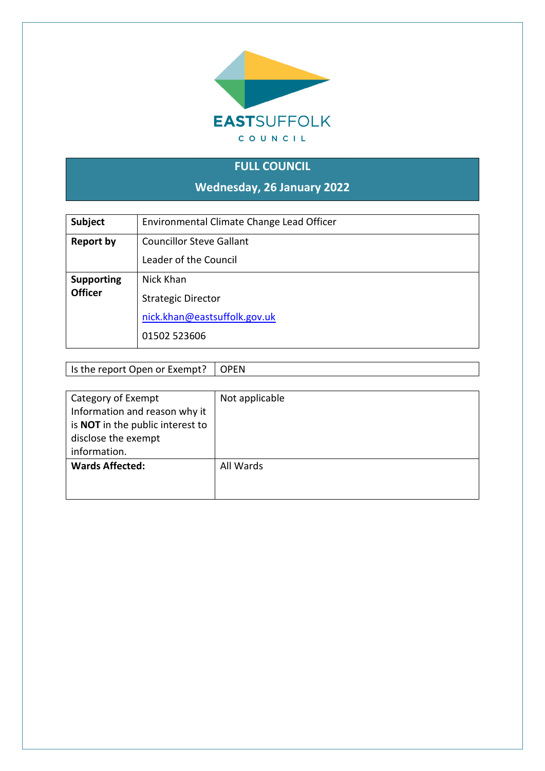

# **FULL COUNCIL**

**Wednesday, 26 January 2022**

| Subject           | Environmental Climate Change Lead Officer |
|-------------------|-------------------------------------------|
| <b>Report by</b>  | <b>Councillor Steve Gallant</b>           |
|                   | Leader of the Council                     |
| <b>Supporting</b> | Nick Khan                                 |
| <b>Officer</b>    | <b>Strategic Director</b>                 |
|                   | nick.khan@eastsuffolk.gov.uk              |
|                   | 01502 523606                              |

Is the report Open or Exempt? OPEN

| Category of Exempt                      | Not applicable |
|-----------------------------------------|----------------|
| Information and reason why it           |                |
| is <b>NOT</b> in the public interest to |                |
| disclose the exempt                     |                |
| information.                            |                |
| <b>Wards Affected:</b>                  | All Wards      |
|                                         |                |
|                                         |                |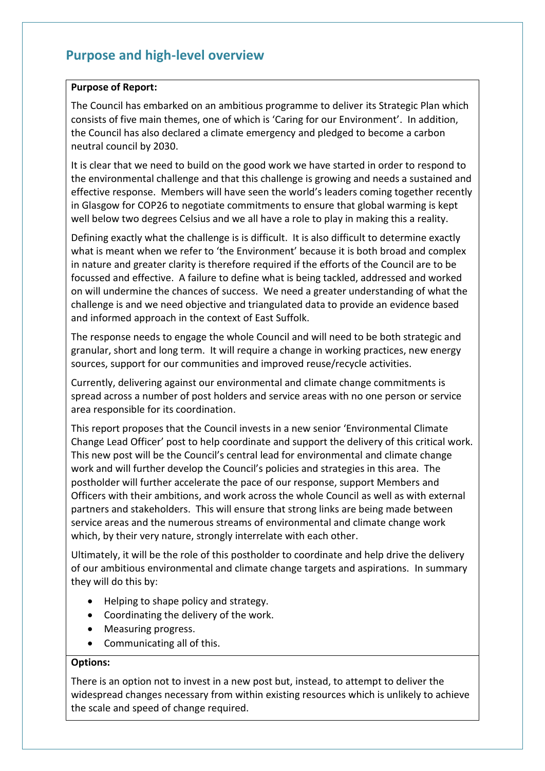## **Purpose and high-level overview**

### **Purpose of Report:**

The Council has embarked on an ambitious programme to deliver its Strategic Plan which consists of five main themes, one of which is 'Caring for our Environment'. In addition, the Council has also declared a climate emergency and pledged to become a carbon neutral council by 2030.

It is clear that we need to build on the good work we have started in order to respond to the environmental challenge and that this challenge is growing and needs a sustained and effective response. Members will have seen the world's leaders coming together recently in Glasgow for COP26 to negotiate commitments to ensure that global warming is kept well below two degrees Celsius and we all have a role to play in making this a reality.

Defining exactly what the challenge is is difficult. It is also difficult to determine exactly what is meant when we refer to 'the Environment' because it is both broad and complex in nature and greater clarity is therefore required if the efforts of the Council are to be focussed and effective. A failure to define what is being tackled, addressed and worked on will undermine the chances of success. We need a greater understanding of what the challenge is and we need objective and triangulated data to provide an evidence based and informed approach in the context of East Suffolk.

The response needs to engage the whole Council and will need to be both strategic and granular, short and long term. It will require a change in working practices, new energy sources, support for our communities and improved reuse/recycle activities.

Currently, delivering against our environmental and climate change commitments is spread across a number of post holders and service areas with no one person or service area responsible for its coordination.

This report proposes that the Council invests in a new senior 'Environmental Climate Change Lead Officer' post to help coordinate and support the delivery of this critical work. This new post will be the Council's central lead for environmental and climate change work and will further develop the Council's policies and strategies in this area. The postholder will further accelerate the pace of our response, support Members and Officers with their ambitions, and work across the whole Council as well as with external partners and stakeholders. This will ensure that strong links are being made between service areas and the numerous streams of environmental and climate change work which, by their very nature, strongly interrelate with each other.

Ultimately, it will be the role of this postholder to coordinate and help drive the delivery of our ambitious environmental and climate change targets and aspirations. In summary they will do this by:

- Helping to shape policy and strategy.
- Coordinating the delivery of the work.
- Measuring progress.
- Communicating all of this.

### **Options:**

There is an option not to invest in a new post but, instead, to attempt to deliver the widespread changes necessary from within existing resources which is unlikely to achieve the scale and speed of change required.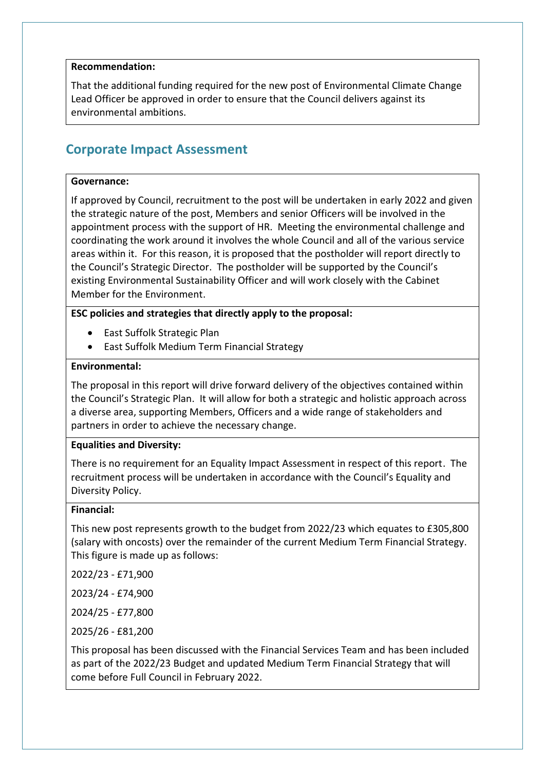### **Recommendation:**

That the additional funding required for the new post of Environmental Climate Change Lead Officer be approved in order to ensure that the Council delivers against its environmental ambitions.

## **Corporate Impact Assessment**

#### **Governance:**

If approved by Council, recruitment to the post will be undertaken in early 2022 and given the strategic nature of the post, Members and senior Officers will be involved in the appointment process with the support of HR. Meeting the environmental challenge and coordinating the work around it involves the whole Council and all of the various service areas within it. For this reason, it is proposed that the postholder will report directly to the Council's Strategic Director. The postholder will be supported by the Council's existing Environmental Sustainability Officer and will work closely with the Cabinet Member for the Environment.

### **ESC policies and strategies that directly apply to the proposal:**

- East Suffolk Strategic Plan
- East Suffolk Medium Term Financial Strategy

#### **Environmental:**

The proposal in this report will drive forward delivery of the objectives contained within the Council's Strategic Plan. It will allow for both a strategic and holistic approach across a diverse area, supporting Members, Officers and a wide range of stakeholders and partners in order to achieve the necessary change.

#### **Equalities and Diversity:**

There is no requirement for an Equality Impact Assessment in respect of this report. The recruitment process will be undertaken in accordance with the Council's Equality and Diversity Policy.

#### **Financial:**

This new post represents growth to the budget from 2022/23 which equates to £305,800 (salary with oncosts) over the remainder of the current Medium Term Financial Strategy. This figure is made up as follows:

2022/23 - £71,900

2023/24 - £74,900

2024/25 - £77,800

2025/26 - £81,200

This proposal has been discussed with the Financial Services Team and has been included as part of the 2022/23 Budget and updated Medium Term Financial Strategy that will come before Full Council in February 2022.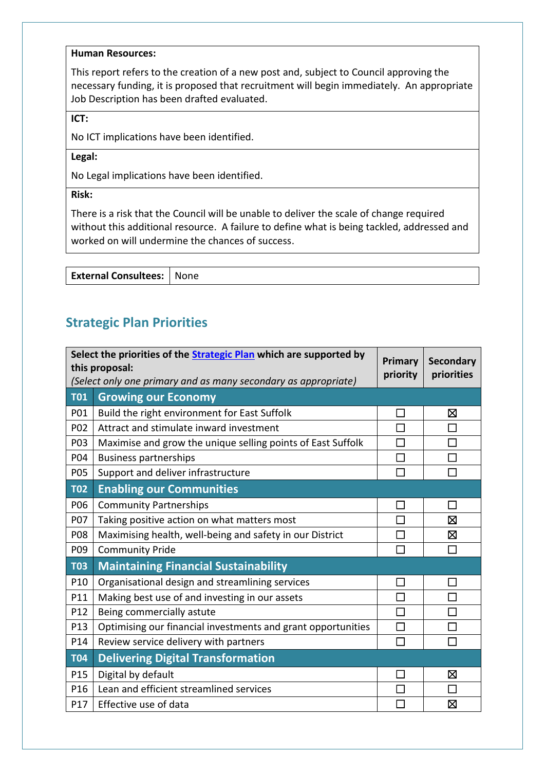#### **Human Resources:**

This report refers to the creation of a new post and, subject to Council approving the necessary funding, it is proposed that recruitment will begin immediately. An appropriate Job Description has been drafted evaluated.

**ICT:**

No ICT implications have been identified.

**Legal:**

No Legal implications have been identified.

**Risk:**

There is a risk that the Council will be unable to deliver the scale of change required without this additional resource. A failure to define what is being tackled, addressed and worked on will undermine the chances of success.

**External Consultees:** None

# **Strategic Plan Priorities**

| Select the priorities of the <b>Strategic Plan</b> which are supported by<br>this proposal: |                                                                | Primary<br>priority | <b>Secondary</b><br>priorities |
|---------------------------------------------------------------------------------------------|----------------------------------------------------------------|---------------------|--------------------------------|
|                                                                                             | (Select only one primary and as many secondary as appropriate) |                     |                                |
| <b>T01</b>                                                                                  | <b>Growing our Economy</b>                                     |                     |                                |
| P01                                                                                         | Build the right environment for East Suffolk                   |                     | ⊠                              |
| P02                                                                                         | Attract and stimulate inward investment                        |                     | П                              |
| P03                                                                                         | Maximise and grow the unique selling points of East Suffolk    |                     |                                |
| P04                                                                                         | <b>Business partnerships</b>                                   | $\Box$              |                                |
| P05                                                                                         | Support and deliver infrastructure                             | П                   | П                              |
| <b>T02</b>                                                                                  | <b>Enabling our Communities</b>                                |                     |                                |
| P06                                                                                         | <b>Community Partnerships</b>                                  | $\Box$              | $\Box$                         |
| P07                                                                                         | Taking positive action on what matters most                    |                     | ⊠                              |
| P08                                                                                         | Maximising health, well-being and safety in our District       | П                   | $\boxtimes$                    |
| P09                                                                                         | <b>Community Pride</b>                                         |                     | П                              |
| <b>T03</b>                                                                                  | <b>Maintaining Financial Sustainability</b>                    |                     |                                |
| P10                                                                                         | Organisational design and streamlining services                | <b>Contract</b>     |                                |
| P11                                                                                         | Making best use of and investing in our assets                 |                     |                                |
| P12                                                                                         | Being commercially astute                                      |                     |                                |
| P13                                                                                         | Optimising our financial investments and grant opportunities   | П                   | П                              |
| P14                                                                                         | Review service delivery with partners                          | П                   |                                |
| <b>T04</b>                                                                                  | <b>Delivering Digital Transformation</b>                       |                     |                                |
| P15                                                                                         | Digital by default                                             |                     | ⊠                              |
| P16                                                                                         | Lean and efficient streamlined services                        |                     | П                              |
| P17                                                                                         | Effective use of data                                          |                     | 区                              |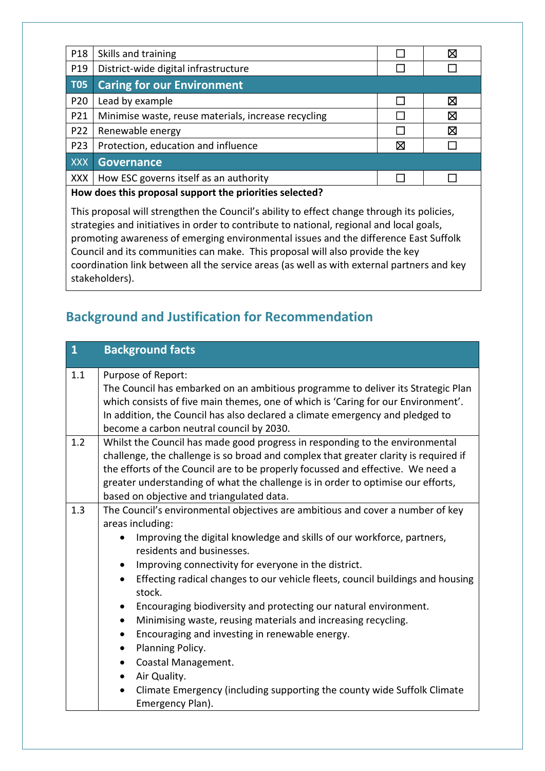| P18                                                     | Skills and training                                 |   | X |
|---------------------------------------------------------|-----------------------------------------------------|---|---|
| P19                                                     | District-wide digital infrastructure                |   |   |
| <b>T05</b>                                              | <b>Caring for our Environment</b>                   |   |   |
| P20                                                     | Lead by example                                     |   | X |
| P21                                                     | Minimise waste, reuse materials, increase recycling |   | ⊠ |
| P22                                                     | Renewable energy                                    |   | ⊠ |
| P23                                                     | Protection, education and influence                 | ⊠ |   |
| XXX                                                     | <b>Governance</b>                                   |   |   |
| <b>XXX</b>                                              | How ESC governs itself as an authority              |   |   |
| How does this proposal support the priorities selected? |                                                     |   |   |

This proposal will strengthen the Council's ability to effect change through its policies, strategies and initiatives in order to contribute to national, regional and local goals, promoting awareness of emerging environmental issues and the difference East Suffolk Council and its communities can make. This proposal will also provide the key coordination link between all the service areas (as well as with external partners and key stakeholders).

# **Background and Justification for Recommendation**

| $\mathbf{1}$ | <b>Background facts</b>                                                                                                                                                                                                                                                                                                                                                                                                                                                                                                                                                                                                                                                                                                                                                                                                                  |
|--------------|------------------------------------------------------------------------------------------------------------------------------------------------------------------------------------------------------------------------------------------------------------------------------------------------------------------------------------------------------------------------------------------------------------------------------------------------------------------------------------------------------------------------------------------------------------------------------------------------------------------------------------------------------------------------------------------------------------------------------------------------------------------------------------------------------------------------------------------|
| 1.1          | Purpose of Report:<br>The Council has embarked on an ambitious programme to deliver its Strategic Plan<br>which consists of five main themes, one of which is 'Caring for our Environment'.<br>In addition, the Council has also declared a climate emergency and pledged to<br>become a carbon neutral council by 2030.                                                                                                                                                                                                                                                                                                                                                                                                                                                                                                                 |
| 1.2          | Whilst the Council has made good progress in responding to the environmental<br>challenge, the challenge is so broad and complex that greater clarity is required if<br>the efforts of the Council are to be properly focussed and effective. We need a<br>greater understanding of what the challenge is in order to optimise our efforts,<br>based on objective and triangulated data.                                                                                                                                                                                                                                                                                                                                                                                                                                                 |
| 1.3          | The Council's environmental objectives are ambitious and cover a number of key<br>areas including:<br>Improving the digital knowledge and skills of our workforce, partners,<br>$\bullet$<br>residents and businesses.<br>Improving connectivity for everyone in the district.<br>٠<br>Effecting radical changes to our vehicle fleets, council buildings and housing<br>$\bullet$<br>stock.<br>Encouraging biodiversity and protecting our natural environment.<br>$\bullet$<br>Minimising waste, reusing materials and increasing recycling.<br>$\bullet$<br>Encouraging and investing in renewable energy.<br>$\bullet$<br>Planning Policy.<br>$\bullet$<br>Coastal Management.<br>$\bullet$<br>Air Quality.<br>$\bullet$<br>Climate Emergency (including supporting the county wide Suffolk Climate<br>$\bullet$<br>Emergency Plan). |